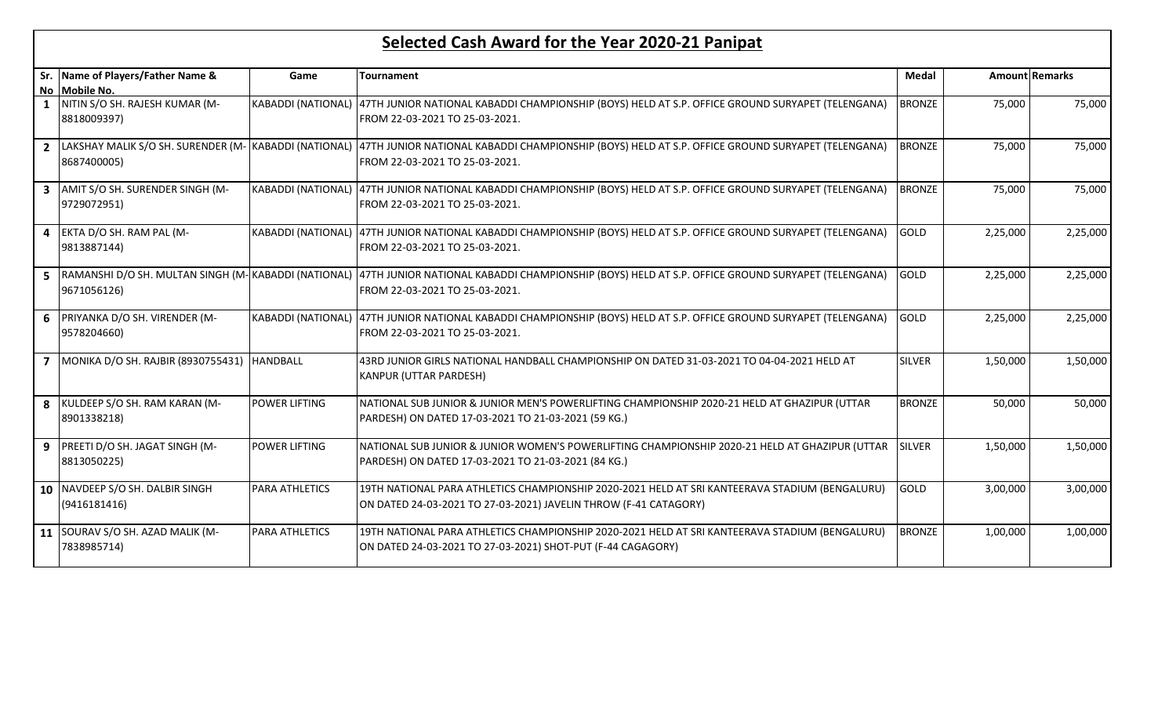## Selected Cash Award for the Year 2020-21 Panipat

| Sr. Name of Players/Father Name &                                      | Game                      | <b>Tournament</b>                                                                                                                                                                        | <b>Medal</b>  |          | <b>Amount Remarks</b> |  |
|------------------------------------------------------------------------|---------------------------|------------------------------------------------------------------------------------------------------------------------------------------------------------------------------------------|---------------|----------|-----------------------|--|
| No Mobile No.                                                          |                           |                                                                                                                                                                                          |               |          |                       |  |
| 1 NITIN S/O SH. RAJESH KUMAR (M-<br>8818009397)                        |                           | KABADDI (NATIONAL) 47TH JUNIOR NATIONAL KABADDI CHAMPIONSHIP (BOYS) HELD AT S.P. OFFICE GROUND SURYAPET (TELENGANA)<br>FROM 22-03-2021 TO 25-03-2021.                                    | <b>BRONZE</b> | 75,000   | 75,000                |  |
| 2 LAKSHAY MALIK S/O SH. SURENDER (M- KABADDI (NATIONAL)<br>8687400005) |                           | 47TH JUNIOR NATIONAL KABADDI CHAMPIONSHIP (BOYS) HELD AT S.P. OFFICE GROUND SURYAPET (TELENGANA)<br>FROM 22-03-2021 TO 25-03-2021.                                                       | <b>BRONZE</b> | 75,000   | 75,000                |  |
| 3 AMIT S/O SH. SURENDER SINGH (M-<br>9729072951)                       | <b>KABADDI (NATIONAL)</b> | 47TH JUNIOR NATIONAL KABADDI CHAMPIONSHIP (BOYS) HELD AT S.P. OFFICE GROUND SURYAPET (TELENGANA)<br>FROM 22-03-2021 TO 25-03-2021.                                                       | <b>BRONZE</b> | 75,000   | 75,000                |  |
| 4 EKTA D/O SH. RAM PAL (M-<br>9813887144)                              |                           | KABADDI (NATIONAL)  47TH JUNIOR NATIONAL KABADDI CHAMPIONSHIP (BOYS) HELD AT S.P. OFFICE GROUND SURYAPET (TELENGANA)<br>FROM 22-03-2021 TO 25-03-2021.                                   | GOLD          | 2,25,000 | 2,25,000              |  |
| 9671056126)                                                            |                           | 5 RAMANSHI D/O SH. MULTAN SINGH (M-KABADDI (NATIONAL) 47TH JUNIOR NATIONAL KABADDI CHAMPIONSHIP (BOYS) HELD AT S.P. OFFICE GROUND SURYAPET (TELENGANA)<br>FROM 22-03-2021 TO 25-03-2021. | GOLD          | 2,25,000 | 2,25,000              |  |
| 6 PRIYANKA D/O SH. VIRENDER (M-<br>9578204660)                         | <b>KABADDI (NATIONAL)</b> | 47TH JUNIOR NATIONAL KABADDI CHAMPIONSHIP (BOYS) HELD AT S.P. OFFICE GROUND SURYAPET (TELENGANA)<br>FROM 22-03-2021 TO 25-03-2021.                                                       | <b>GOLD</b>   | 2,25,000 | 2,25,000              |  |
| 7   MONIKA D/O SH. RAJBIR (8930755431)   HANDBALL                      |                           | 43RD JUNIOR GIRLS NATIONAL HANDBALL CHAMPIONSHIP ON DATED 31-03-2021 TO 04-04-2021 HELD AT<br>KANPUR (UTTAR PARDESH)                                                                     | <b>SILVER</b> | 1,50,000 | 1,50,000              |  |
| 8 KULDEEP S/O SH. RAM KARAN (M-<br>8901338218)                         | <b>POWER LIFTING</b>      | NATIONAL SUB JUNIOR & JUNIOR MEN'S POWERLIFTING CHAMPIONSHIP 2020-21 HELD AT GHAZIPUR (UTTAR<br>PARDESH) ON DATED 17-03-2021 TO 21-03-2021 (59 KG.)                                      | <b>BRONZE</b> | 50,000   | 50,000                |  |
| 9   PREETI D/O SH. JAGAT SINGH (M-<br>8813050225)                      | <b>POWER LIFTING</b>      | NATIONAL SUB JUNIOR & JUNIOR WOMEN'S POWERLIFTING CHAMPIONSHIP 2020-21 HELD AT GHAZIPUR (UTTAR<br>PARDESH) ON DATED 17-03-2021 TO 21-03-2021 (84 KG.)                                    | <b>SILVER</b> | 1,50,000 | 1,50,000              |  |
| 10 NAVDEEP S/O SH. DALBIR SINGH<br>(9416181416)                        | <b>PARA ATHLETICS</b>     | 19TH NATIONAL PARA ATHLETICS CHAMPIONSHIP 2020-2021 HELD AT SRI KANTEERAVA STADIUM (BENGALURU)<br>ON DATED 24-03-2021 TO 27-03-2021) JAVELIN THROW (F-41 CATAGORY)                       | GOLD          | 3,00,000 | 3,00,000              |  |
| 11 SOURAV S/O SH. AZAD MALIK (M-<br>7838985714)                        | <b>PARA ATHLETICS</b>     | 19TH NATIONAL PARA ATHLETICS CHAMPIONSHIP 2020-2021 HELD AT SRI KANTEERAVA STADIUM (BENGALURU)<br>ON DATED 24-03-2021 TO 27-03-2021) SHOT-PUT (F-44 CAGAGORY)                            | <b>BRONZE</b> | 1,00,000 | 1,00,000              |  |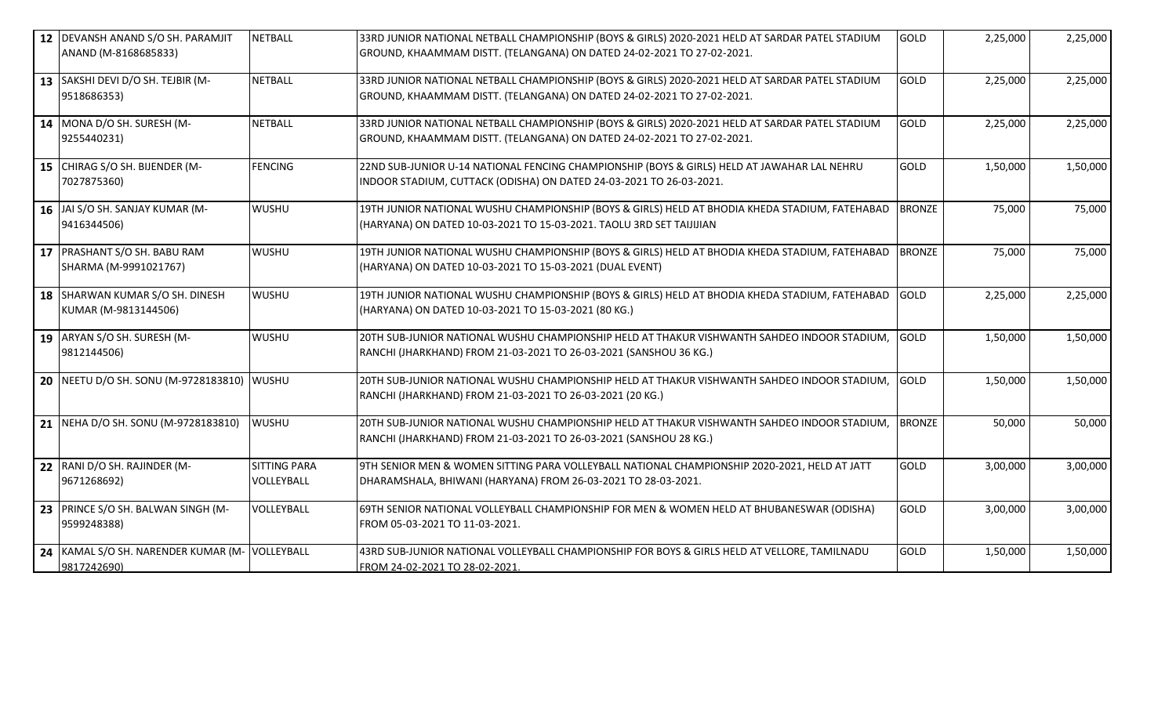| 12   DEVANSH ANAND S/O SH. PARAMJIT            | <b>NETBALL</b>      | 33RD JUNIOR NATIONAL NETBALL CHAMPIONSHIP (BOYS & GIRLS) 2020-2021 HELD AT SARDAR PATEL STADIUM | <b>GOLD</b>   | 2,25,000 | 2,25,000 |
|------------------------------------------------|---------------------|-------------------------------------------------------------------------------------------------|---------------|----------|----------|
| ANAND (M-8168685833)                           |                     | GROUND, KHAAMMAM DISTT. (TELANGANA) ON DATED 24-02-2021 TO 27-02-2021.                          |               |          |          |
| 13 SAKSHI DEVI D/O SH. TEJBIR (M-              | <b>NETBALL</b>      | 33RD JUNIOR NATIONAL NETBALL CHAMPIONSHIP (BOYS & GIRLS) 2020-2021 HELD AT SARDAR PATEL STADIUM | <b>GOLD</b>   | 2,25,000 | 2,25,000 |
| 9518686353)                                    |                     | GROUND, KHAAMMAM DISTT. (TELANGANA) ON DATED 24-02-2021 TO 27-02-2021.                          |               |          |          |
| 14 MONA D/O SH. SURESH (M-                     | <b>NETBALL</b>      | 33RD JUNIOR NATIONAL NETBALL CHAMPIONSHIP (BOYS & GIRLS) 2020-2021 HELD AT SARDAR PATEL STADIUM | <b>GOLD</b>   | 2,25,000 | 2,25,000 |
| 9255440231)                                    |                     | GROUND, KHAAMMAM DISTT. (TELANGANA) ON DATED 24-02-2021 TO 27-02-2021.                          |               |          |          |
| 15 CHIRAG S/O SH. BIJENDER (M-                 | <b>FENCING</b>      | 22ND SUB-JUNIOR U-14 NATIONAL FENCING CHAMPIONSHIP (BOYS & GIRLS) HELD AT JAWAHAR LAL NEHRU     | <b>GOLD</b>   | 1,50,000 | 1,50,000 |
| 7027875360)                                    |                     | INDOOR STADIUM, CUTTACK (ODISHA) ON DATED 24-03-2021 TO 26-03-2021.                             |               |          |          |
| 16 JAI S/O SH. SANJAY KUMAR (M-                | <b>WUSHU</b>        | 19TH JUNIOR NATIONAL WUSHU CHAMPIONSHIP (BOYS & GIRLS) HELD AT BHODIA KHEDA STADIUM, FATEHABAD  | <b>BRONZE</b> | 75,000   | 75,000   |
| 9416344506)                                    |                     | (HARYANA) ON DATED 10-03-2021 TO 15-03-2021. TAOLU 3RD SET TAIJIJIAN                            |               |          |          |
| 17   PRASHANT S/O SH. BABU RAM                 | <b>WUSHU</b>        | 19TH JUNIOR NATIONAL WUSHU CHAMPIONSHIP (BOYS & GIRLS) HELD AT BHODIA KHEDA STADIUM, FATEHABAD  | <b>BRONZE</b> | 75,000   | 75,000   |
| SHARMA (M-9991021767)                          |                     | (HARYANA) ON DATED 10-03-2021 TO 15-03-2021 (DUAL EVENT)                                        |               |          |          |
| 18 SHARWAN KUMAR S/O SH. DINESH                | <b>WUSHU</b>        | 19TH JUNIOR NATIONAL WUSHU CHAMPIONSHIP (BOYS & GIRLS) HELD AT BHODIA KHEDA STADIUM, FATEHABAD  | <b>GOLD</b>   | 2,25,000 | 2,25,000 |
| KUMAR (M-9813144506)                           |                     | (HARYANA) ON DATED 10-03-2021 TO 15-03-2021 (80 KG.)                                            |               |          |          |
| 19 ARYAN S/O SH. SURESH (M-                    | <b>WUSHU</b>        | 20TH SUB-JUNIOR NATIONAL WUSHU CHAMPIONSHIP HELD AT THAKUR VISHWANTH SAHDEO INDOOR STADIUM,     | GOLD          | 1,50,000 | 1,50,000 |
| 9812144506)                                    |                     | RANCHI (JHARKHAND) FROM 21-03-2021 TO 26-03-2021 (SANSHOU 36 KG.)                               |               |          |          |
| 20 NEETU D/O SH. SONU (M-9728183810) WUSHU     |                     | 20TH SUB-JUNIOR NATIONAL WUSHU CHAMPIONSHIP HELD AT THAKUR VISHWANTH SAHDEO INDOOR STADIUM,     | <b>GOLD</b>   | 1,50,000 | 1,50,000 |
|                                                |                     | RANCHI (JHARKHAND) FROM 21-03-2021 TO 26-03-2021 (20 KG.)                                       |               |          |          |
| 21   NEHA D/O SH. SONU (M-9728183810)          | <b>WUSHU</b>        | 20TH SUB-JUNIOR NATIONAL WUSHU CHAMPIONSHIP HELD AT THAKUR VISHWANTH SAHDEO INDOOR STADIUM,     | <b>BRONZE</b> | 50,000   | 50,000   |
|                                                |                     | RANCHI (JHARKHAND) FROM 21-03-2021 TO 26-03-2021 (SANSHOU 28 KG.)                               |               |          |          |
| 22 RANI D/O SH. RAJINDER (M-                   | <b>SITTING PARA</b> | 9TH SENIOR MEN & WOMEN SITTING PARA VOLLEYBALL NATIONAL CHAMPIONSHIP 2020-2021, HELD AT JATT    | <b>GOLD</b>   | 3,00,000 | 3,00,000 |
| 9671268692)                                    | VOLLEYBALL          | DHARAMSHALA, BHIWANI (HARYANA) FROM 26-03-2021 TO 28-03-2021.                                   |               |          |          |
| 23 PRINCE S/O SH. BALWAN SINGH (M-             | VOLLEYBALL          | 69TH SENIOR NATIONAL VOLLEYBALL CHAMPIONSHIP FOR MEN & WOMEN HELD AT BHUBANESWAR (ODISHA)       | <b>GOLD</b>   | 3,00,000 | 3,00,000 |
| 9599248388)                                    |                     | FROM 05-03-2021 TO 11-03-2021.                                                                  |               |          |          |
| 24 KAMAL S/O SH. NARENDER KUMAR (M- VOLLEYBALL |                     | 43RD SUB-JUNIOR NATIONAL VOLLEYBALL CHAMPIONSHIP FOR BOYS & GIRLS HELD AT VELLORE, TAMILNADU    | <b>GOLD</b>   | 1,50,000 | 1,50,000 |
| 9817242690)                                    |                     | FROM 24-02-2021 TO 28-02-2021                                                                   |               |          |          |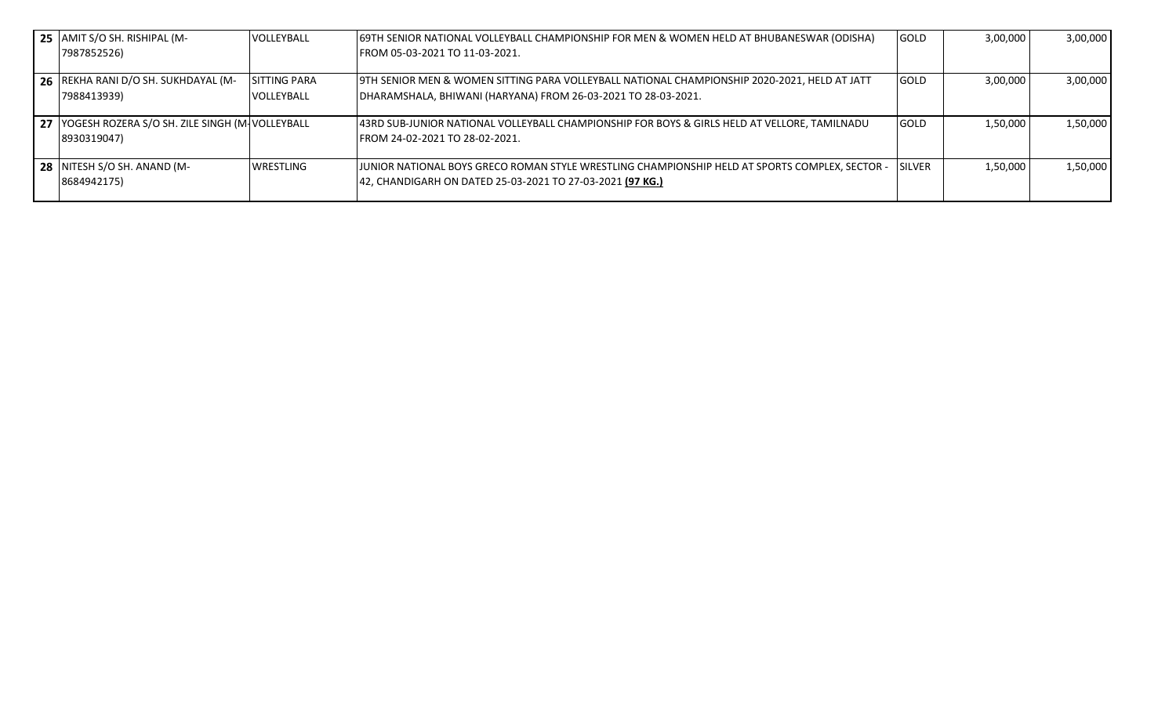| 25 AMIT S/O SH. RISHIPAL (M-<br>7987852526)        | VOLLEYBALL          | (69TH SENIOR NATIONAL VOLLEYBALL CHAMPIONSHIP FOR MEN & WOMEN HELD AT BHUBANESWAR (ODISHA)<br>FROM 05-03-2021 TO 11-03-2021. | <b>GOLD</b>    | 3,00,000 | 3,00,000 |
|----------------------------------------------------|---------------------|------------------------------------------------------------------------------------------------------------------------------|----------------|----------|----------|
|                                                    |                     |                                                                                                                              |                |          |          |
| 26 REKHA RANI D/O SH. SUKHDAYAL (M-                | <b>SITTING PARA</b> | 9TH SENIOR MEN & WOMEN SITTING PARA VOLLEYBALL NATIONAL CHAMPIONSHIP 2020-2021, HELD AT JATT                                 | <b>GOLD</b>    | 3,00,000 | 3,00,000 |
| 7988413939)                                        | VOLLEYBALL          | DHARAMSHALA, BHIWANI (HARYANA) FROM 26-03-2021 TO 28-03-2021.                                                                |                |          |          |
| 27 YOGESH ROZERA S/O SH. ZILE SINGH (M- VOLLEYBALL |                     | 43RD SUB-JUNIOR NATIONAL VOLLEYBALL CHAMPIONSHIP FOR BOYS & GIRLS HELD AT VELLORE, TAMILNADU                                 | <b>GOLD</b>    | 1,50,000 | 1,50,000 |
| 8930319047)                                        |                     | FROM 24-02-2021 TO 28-02-2021.                                                                                               |                |          |          |
| 28 NITESH S/O SH. ANAND (M-                        | <b>WRESTLING</b>    | JJUNIOR NATIONAL BOYS GRECO ROMAN STYLE WRESTLING CHAMPIONSHIP HELD AT SPORTS COMPLEX, SECTOR -                              | <b>ISILVER</b> | 1,50,000 | 1,50,000 |
| 8684942175)                                        |                     | 42, CHANDIGARH ON DATED 25-03-2021 TO 27-03-2021 (97 KG.)                                                                    |                |          |          |